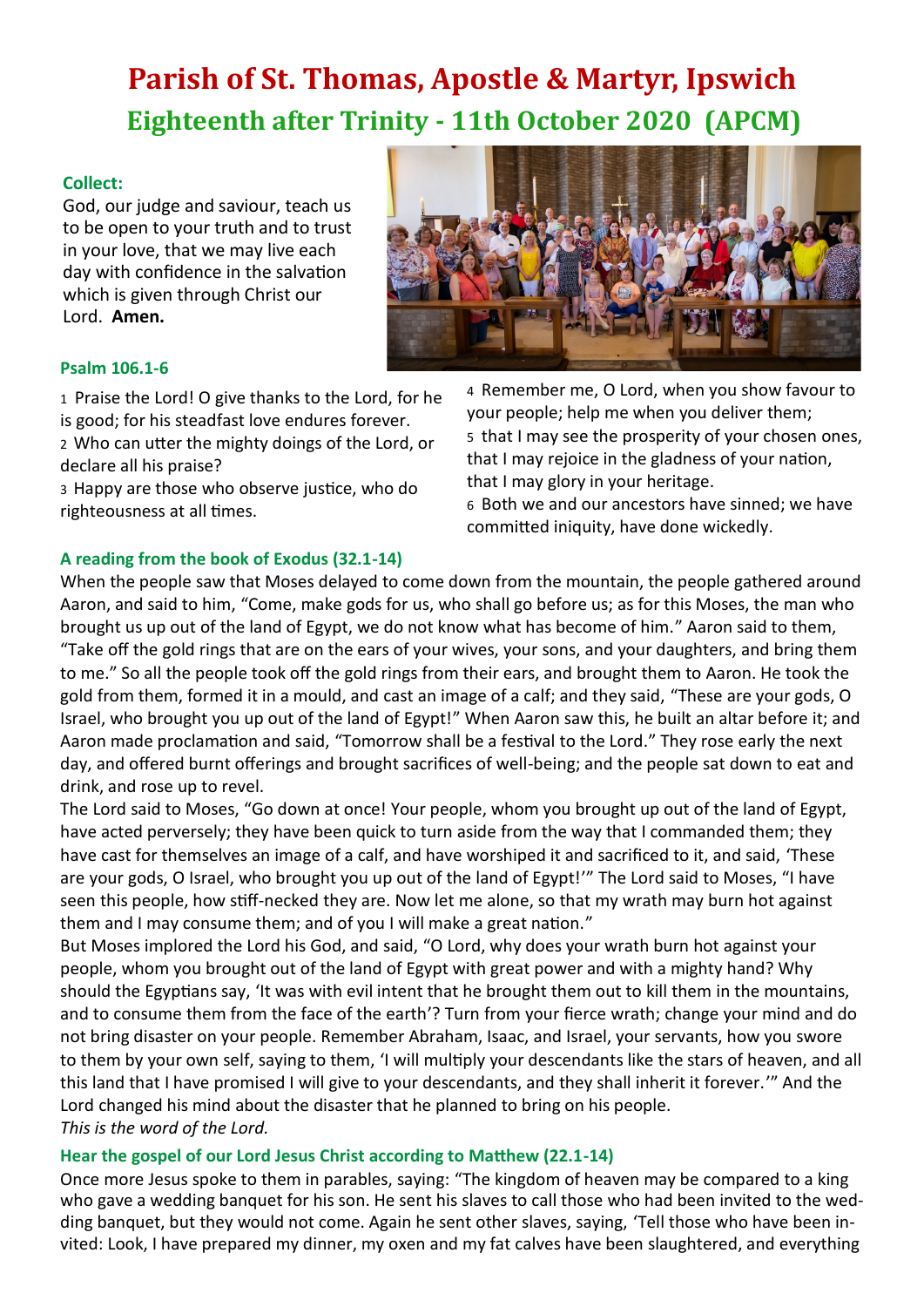# **Parish of St. Thomas, Apostle & Martyr, Ipswich Eighteenth after Trinity - 11th October 2020 (APCM)**

#### **Collect:**

God, our judge and saviour, teach us to be open to your truth and to trust in your love, that we may live each day with confidence in the salvation which is given through Christ our Lord. **Amen.**

### **Psalm 106.1-6**

1 Praise the Lord! O give thanks to the Lord, for he is good; for his steadfast love endures forever.

2 Who can utter the mighty doings of the Lord, or declare all his praise?

3 Happy are those who observe justice, who do righteousness at all times.

4 Remember me, O Lord, when you show favour to your people; help me when you deliver them; 5 that I may see the prosperity of your chosen ones, that I may rejoice in the gladness of your nation, that I may glory in your heritage.

6 Both we and our ancestors have sinned; we have committed iniquity, have done wickedly.

## **A reading from the book of Exodus (32.1-14)**

When the people saw that Moses delayed to come down from the mountain, the people gathered around Aaron, and said to him, "Come, make gods for us, who shall go before us; as for this Moses, the man who brought us up out of the land of Egypt, we do not know what has become of him." Aaron said to them, "Take off the gold rings that are on the ears of your wives, your sons, and your daughters, and bring them to me." So all the people took off the gold rings from their ears, and brought them to Aaron. He took the gold from them, formed it in a mould, and cast an image of a calf; and they said, "These are your gods, O Israel, who brought you up out of the land of Egypt!" When Aaron saw this, he built an altar before it; and Aaron made proclamation and said, "Tomorrow shall be a festival to the Lord." They rose early the next day, and offered burnt offerings and brought sacrifices of well-being; and the people sat down to eat and drink, and rose up to revel.

The Lord said to Moses, "Go down at once! Your people, whom you brought up out of the land of Egypt, have acted perversely; they have been quick to turn aside from the way that I commanded them; they have cast for themselves an image of a calf, and have worshiped it and sacrificed to it, and said, 'These are your gods, O Israel, who brought you up out of the land of Egypt!'" The Lord said to Moses, "I have seen this people, how stiff-necked they are. Now let me alone, so that my wrath may burn hot against them and I may consume them; and of you I will make a great nation."

But Moses implored the Lord his God, and said, "O Lord, why does your wrath burn hot against your people, whom you brought out of the land of Egypt with great power and with a mighty hand? Why should the Egyptians say, 'It was with evil intent that he brought them out to kill them in the mountains, and to consume them from the face of the earth'? Turn from your fierce wrath; change your mind and do not bring disaster on your people. Remember Abraham, Isaac, and Israel, your servants, how you swore to them by your own self, saying to them, 'I will multiply your descendants like the stars of heaven, and all this land that I have promised I will give to your descendants, and they shall inherit it forever.'" And the Lord changed his mind about the disaster that he planned to bring on his people. *This is the word of the Lord.*

# **Hear the gospel of our Lord Jesus Christ according to Matthew (22.1-14)**

Once more Jesus spoke to them in parables, saying: "The kingdom of heaven may be compared to a king who gave a wedding banquet for his son. He sent his slaves to call those who had been invited to the wedding banquet, but they would not come. Again he sent other slaves, saying, 'Tell those who have been invited: Look, I have prepared my dinner, my oxen and my fat calves have been slaughtered, and everything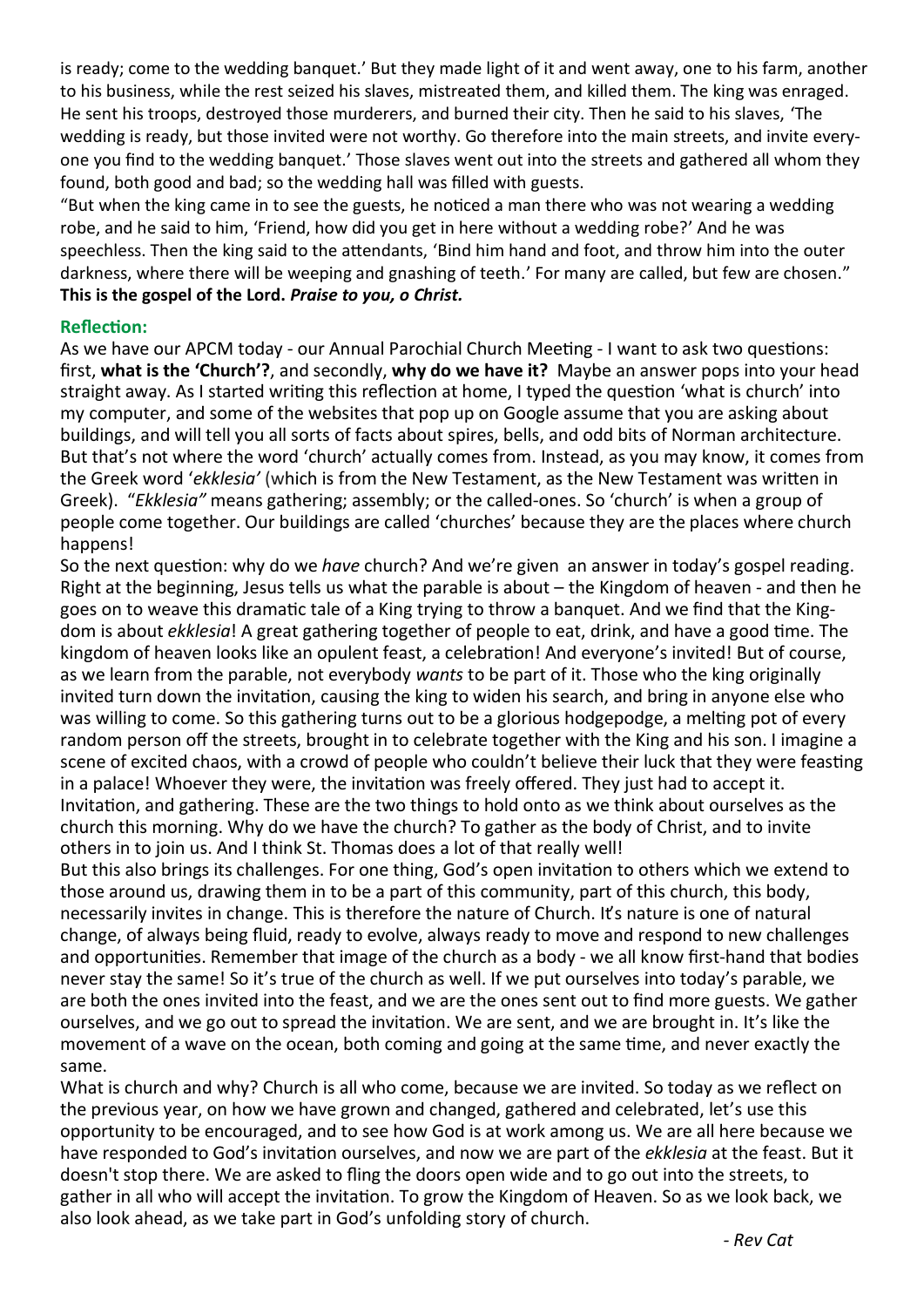is ready; come to the wedding banquet.' But they made light of it and went away, one to his farm, another to his business, while the rest seized his slaves, mistreated them, and killed them. The king was enraged. He sent his troops, destroyed those murderers, and burned their city. Then he said to his slaves, 'The wedding is ready, but those invited were not worthy. Go therefore into the main streets, and invite everyone you find to the wedding banquet.' Those slaves went out into the streets and gathered all whom they found, both good and bad; so the wedding hall was filled with guests.

"But when the king came in to see the guests, he noticed a man there who was not wearing a wedding robe, and he said to him, 'Friend, how did you get in here without a wedding robe?' And he was speechless. Then the king said to the attendants, 'Bind him hand and foot, and throw him into the outer darkness, where there will be weeping and gnashing of teeth.' For many are called, but few are chosen." **This is the gospel of the Lord.** *Praise to you, o Christ.*

#### **Reflection:**

As we have our APCM today - our Annual Parochial Church Meeting - I want to ask two questions: first, **what is the 'Church'?**, and secondly, **why do we have it?** Maybe an answer pops into your head straight away. As I started writing this reflection at home, I typed the question 'what is church' into my computer, and some of the websites that pop up on Google assume that you are asking about buildings, and will tell you all sorts of facts about spires, bells, and odd bits of Norman architecture. But that's not where the word 'church' actually comes from. Instead, as you may know, it comes from the Greek word '*ekklesia'* (which is from the New Testament, as the New Testament was written in Greek). "*Ekklesia"* means gathering; assembly; or the called-ones. So 'church' is when a group of people come together. Our buildings are called 'churches' because they are the places where church happens!

So the next question: why do we *have* church? And we're given an answer in today's gospel reading. Right at the beginning, Jesus tells us what the parable is about – the Kingdom of heaven - and then he goes on to weave this dramatic tale of a King trying to throw a banquet. And we find that the Kingdom is about *ekklesia*! A great gathering together of people to eat, drink, and have a good time. The kingdom of heaven looks like an opulent feast, a celebration! And everyone's invited! But of course, as we learn from the parable, not everybody *wants* to be part of it. Those who the king originally invited turn down the invitation, causing the king to widen his search, and bring in anyone else who was willing to come. So this gathering turns out to be a glorious hodgepodge, a melting pot of every random person off the streets, brought in to celebrate together with the King and his son. I imagine a scene of excited chaos, with a crowd of people who couldn't believe their luck that they were feasting in a palace! Whoever they were, the invitation was freely offered. They just had to accept it. Invitation, and gathering. These are the two things to hold onto as we think about ourselves as the church this morning. Why do we have the church? To gather as the body of Christ, and to invite others in to join us. And I think St. Thomas does a lot of that really well!

But this also brings its challenges. For one thing, God's open invitation to others which we extend to those around us, drawing them in to be a part of this community, part of this church, this body, necessarily invites in change. This is therefore the nature of Church. It's nature is one of natural change, of always being fluid, ready to evolve, always ready to move and respond to new challenges and opportunities. Remember that image of the church as a body - we all know first-hand that bodies never stay the same! So it's true of the church as well. If we put ourselves into today's parable, we are both the ones invited into the feast, and we are the ones sent out to find more guests. We gather ourselves, and we go out to spread the invitation. We are sent, and we are brought in. It's like the movement of a wave on the ocean, both coming and going at the same time, and never exactly the same.

What is church and why? Church is all who come, because we are invited. So today as we reflect on the previous year, on how we have grown and changed, gathered and celebrated, let's use this opportunity to be encouraged, and to see how God is at work among us. We are all here because we have responded to God's invitation ourselves, and now we are part of the *ekklesia* at the feast. But it doesn't stop there. We are asked to fling the doors open wide and to go out into the streets, to gather in all who will accept the invitation. To grow the Kingdom of Heaven. So as we look back, we also look ahead, as we take part in God's unfolding story of church.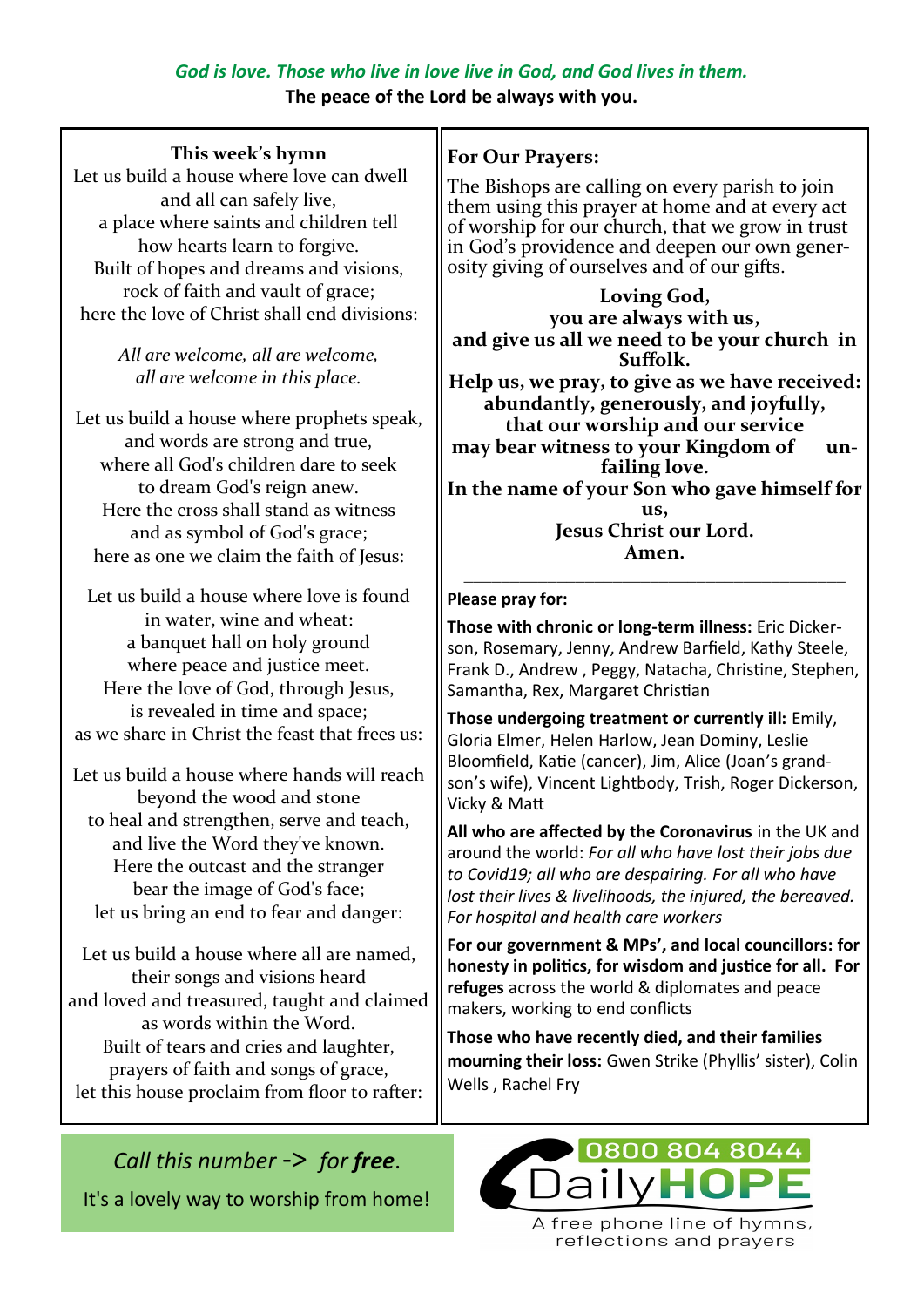# *God is love. Those who live in love live in God, and God lives in them.* **The peace of the Lord be always with you.**

# **This week's hymn**

Let us build a house where love can dwell and all can safely live, a place where saints and children tell how hearts learn to forgive. Built of hopes and dreams and visions, rock of faith and vault of grace; here the love of Christ shall end divisions:

> *All are welcome, all are welcome, all are welcome in this place.*

Let us build a house where prophets speak, and words are strong and true, where all God's children dare to seek to dream God's reign anew. Here the cross shall stand as witness and as symbol of God's grace; here as one we claim the faith of Jesus:

Let us build a house where love is found in water, wine and wheat: a banquet hall on holy ground where peace and justice meet. Here the love of God, through Jesus, is revealed in time and space; as we share in Christ the feast that frees us:

Let us build a house where hands will reach beyond the wood and stone to heal and strengthen, serve and teach, and live the Word they've known. Here the outcast and the stranger bear the image of God's face; let us bring an end to fear and danger:

Let us build a house where all are named, their songs and visions heard and loved and treasured, taught and claimed as words within the Word. Built of tears and cries and laughter, prayers of faith and songs of grace, let this house proclaim from floor to rafter:

**For Our Prayers:**

The Bishops are calling on every parish to join them using this prayer at home and at every act of worship for our church, that we grow in trust in God's providence and deepen our own generosity giving of ourselves and of our gifts.

**Loving God, you are always with us, and give us all we need to be your church in Suffolk. Help us, we pray, to give as we have received: abundantly, generously, and joyfully, that our worship and our service may bear witness to your Kingdom of unfailing love. In the name of your Son who gave himself for us, Jesus Christ our Lord. Amen.**

#### **Please pray for:**

**Those with chronic or long-term illness:** Eric Dickerson, Rosemary, Jenny, Andrew Barfield, Kathy Steele, Frank D., Andrew , Peggy, Natacha, Christine, Stephen, Samantha, Rex, Margaret Christian

**\_\_\_\_\_\_\_\_\_\_\_\_\_\_\_\_\_\_\_\_\_\_\_\_\_\_\_\_\_\_\_\_\_\_\_\_\_\_\_\_\_**

**Those undergoing treatment or currently ill:** Emily, Gloria Elmer, Helen Harlow, Jean Dominy, Leslie Bloomfield, Katie (cancer), Jim, Alice (Joan's grandson's wife), Vincent Lightbody, Trish, Roger Dickerson, Vicky & Matt

**All who are affected by the Coronavirus** in the UK and around the world: *For all who have lost their jobs due to Covid19; all who are despairing. For all who have lost their lives & livelihoods, the injured, the bereaved. For hospital and health care workers*

**For our government & MPs', and local councillors: for honesty in politics, for wisdom and justice for all. For refuges** across the world & diplomates and peace makers, working to end conflicts

**Those who have recently died, and their families mourning their loss:** Gwen Strike (Phyllis' sister), Colin Wells , Rachel Fry

*Call this number* -> *for free*. It's a lovely way to worship from home!

0800 804 8044 Daily

A free phone line of hymns, reflections and prayers